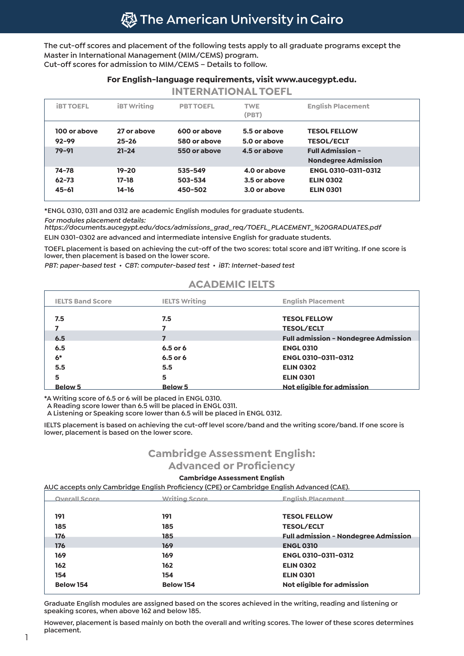**The cut-off scores and placement of the following tests apply to all graduate programs except the Master in International Management (MIM/CEMS) program. Cut-off scores for admission to MIM/CEMS – Details to follow.**

#### **For English-language requirements, visit www.aucegypt.edu.**

| <b>INTERNATIONAL TOEFL</b> |                          |                              |                              |                                                       |  |  |
|----------------------------|--------------------------|------------------------------|------------------------------|-------------------------------------------------------|--|--|
| <b>IBT TOEFL</b>           | <b>iBT</b> Writing       | <b>PBT TOEFL</b>             | <b>TWE</b><br>(PBT)          | <b>English Placement</b>                              |  |  |
| 100 or above<br>$92 - 99$  | 27 or above<br>$25 - 26$ | 600 or above<br>580 or above | 5.5 or above<br>5.0 or above | <b>TESOL FELLOW</b><br><b>TESOL/ECLT</b>              |  |  |
| $79 - 91$                  | $21 - 24$                | 550 or above                 | 4.5 or above                 | <b>Full Admission -</b><br><b>Nondegree Admission</b> |  |  |
| $74 - 78$                  | $19 - 20$                | 535-549                      | 4.0 or above                 | ENGL 0310-0311-0312                                   |  |  |
| $62 - 73$                  | $17-18$                  | 503-534                      | 3.5 or above                 | <b>ELIN 0302</b>                                      |  |  |
| $45 - 61$                  | 14-16                    | 450-502                      | 3.0 or above                 | <b>ELIN 0301</b>                                      |  |  |

**\*ENGL 0310, 0311 and 0312 are academic English modules for graduate students.** 

*For modules placement details:* 

*https://documents.aucegypt.edu/docs/admissions\_grad\_req/TOEFL\_PLACEMENT\_%20GRADUATES.pdf* **ELIN 0301-0302 are advanced and intermediate intensive English for graduate students.**

**TOEFL placement is based on achieving the cut-off of the two scores: total score and iBT Writing. If one score is lower, then placement is based on the lower score.**

*PBT: paper-based test • CBT: computer-based test • iBT: Internet-based test*

### **ACADEMIC IELTS**

| <b>IELTS Band Score</b> | <b>IELTS Writing</b> | <b>English Placement</b>                    |
|-------------------------|----------------------|---------------------------------------------|
| 7.5                     | 7.5                  | <b>TESOL FELLOW</b>                         |
| 7                       |                      | <b>TESOL/ECLT</b>                           |
| 6.5                     |                      | <b>Full admission - Nondegree Admission</b> |
| 6.5                     | 6.5 or 6             | <b>ENGL 0310</b>                            |
| $6*$                    | 6.5 or 6             | <b>ENGL 0310-0311-0312</b>                  |
| 5.5                     | 5.5                  | <b>ELIN 0302</b>                            |
| 5                       | 5                    | <b>ELIN 0301</b>                            |
| <b>Below 5</b>          | <b>Below 5</b>       | Not eligible for admission                  |

**\*A Writing score of 6.5 or 6 will be placed in ENGL 0310.** 

 **A Reading score lower than 6.5 will be placed in ENGL 0311.**

 **A Listening or Speaking score lower than 6.5 will be placed in ENGL 0312.**

**IELTS placement is based on achieving the cut-off level score/band and the writing score/band. If one score is lower, placement is based on the lower score.**

# **Cambridge Assessment English:**

**Advanced or Proficiency**

#### **Cambridge Assessment English**

**AUC accepts only Cambridge English Proficiency (CPE) or Cambridge English Advanced (CAE).**

| <b>Overall Score</b> | <b>Writing Score</b> | <b>English Placement</b>                    |
|----------------------|----------------------|---------------------------------------------|
|                      |                      |                                             |
| 191                  | 191                  | <b>TESOL FELLOW</b>                         |
| 185                  | 185                  | <b>TESOL/ECLT</b>                           |
| 176                  | 185                  | <b>Full admission - Nondegree Admission</b> |
| 176                  | 169                  | <b>ENGL 0310</b>                            |
| 169                  | 169                  | <b>ENGL 0310-0311-0312</b>                  |
| 162                  | 162                  | <b>ELIN 0302</b>                            |
| 154                  | 154                  | <b>ELIN 0301</b>                            |
| <b>Below 154</b>     | <b>Below 154</b>     | Not eligible for admission                  |

**Graduate English modules are assigned based on the scores achieved in the writing, reading and listening or speaking scores, when above 162 and below 185.** 

**However, placement is based mainly on both the overall and writing scores. The lower of these scores determines placement.**